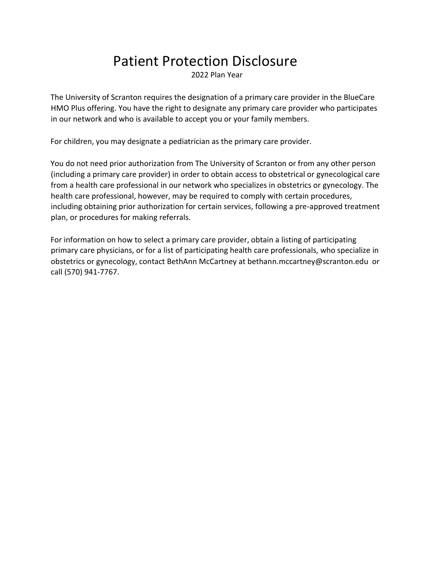# Patient Protection Disclosure

2022 Plan Year

The University of Scranton requires the designation of a primary care provider in the BlueCare HMO Plus offering. You have the right to designate any primary care provider who participates in our network and who is available to accept you or your family members.

For children, you may designate a pediatrician as the primary care provider.

You do not need prior authorization from The University of Scranton or from any other person (including a primary care provider) in order to obtain access to obstetrical or gynecological care from a health care professional in our network who specializes in obstetrics or gynecology. The health care professional, however, may be required to comply with certain procedures, including obtaining prior authorization for certain services, following a pre-approved treatment plan, or procedures for making referrals.

For information on how to select a primary care provider, obtain a listing of participating primary care physicians, or for a list of participating health care professionals, who specialize in obstetrics or gynecology, contact BethAnn McCartney at bethann.mccartney@scranton.edu or call (570) 941-7767.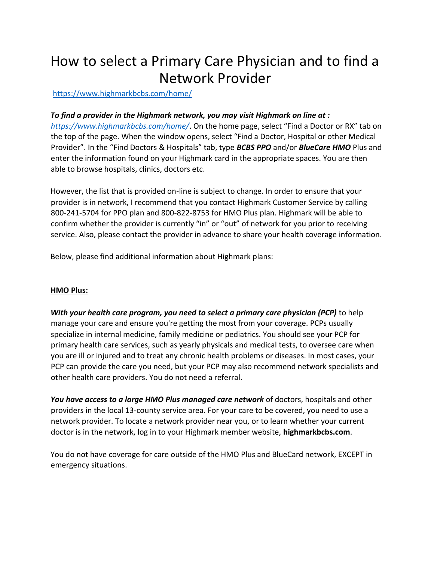## How to select a Primary Care Physician and to find a Network Provider

<https://www.highmarkbcbs.com/home/>

*To find a provider in the Highmark network, you may visit Highmark on line at : <https://www.highmarkbcbs.com/home/>*[.](https://www.highmarkbcbs.com/home/) On the home page, select "Find a Doctor or RX" tab on the top of the page. When the window opens, select "Find a Doctor, Hospital or other Medical Provider". In the "Find Doctors & Hospitals" tab, type *BCBS PPO* and/or *BlueCare HMO* Plus and enter the information found on your Highmark card in the appropriate spaces. You are then able to browse hospitals, clinics, doctors etc.

However, the list that is provided on-line is subject to change. In order to ensure that your provider is in network, I recommend that you contact Highmark Customer Service by calling 800-241-5704 for PPO plan and 800-822-8753 for HMO Plus plan. Highmark will be able to confirm whether the provider is currently "in" or "out" of network for you prior to receiving service. Also, please contact the provider in advance to share your health coverage information.

Below, please find additional information about Highmark plans:

### **HMO Plus:**

*With your health care program, you need to select a primary care physician (PCP)* to help manage your care and ensure you're getting the most from your coverage. PCPs usually specialize in internal medicine, family medicine or pediatrics. You should see your PCP for primary health care services, such as yearly physicals and medical tests, to oversee care when you are ill or injured and to treat any chronic health problems or diseases. In most cases, your PCP can provide the care you need, but your PCP may also recommend network specialists and other health care providers. You do not need a referral.

You have access to a large HMO Plus managed care network of doctors, hospitals and other providers in the local 13-county service area. For your care to be covered, you need to use a network provider. To locate a network provider near you, or to learn whether your current doctor is in the network, log in to your Highmark member website, **highmarkbcbs.com**.

You do not have coverage for care outside of the HMO Plus and BlueCard network, EXCEPT in emergency situations.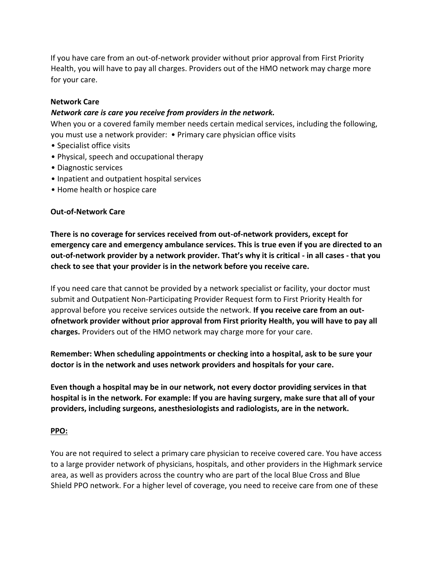If you have care from an out-of-network provider without prior approval from First Priority Health, you will have to pay all charges. Providers out of the HMO network may charge more for your care.

#### **Network Care**

#### *Network care is care you receive from providers in the network.*

When you or a covered family member needs certain medical services, including the following, you must use a network provider: • Primary care physician office visits

- Specialist office visits
- Physical, speech and occupational therapy
- Diagnostic services
- Inpatient and outpatient hospital services
- Home health or hospice care

#### **Out-of-Network Care**

**There is no coverage for services received from out-of-network providers, except for emergency care and emergency ambulance services. This is true even if you are directed to an out-of-network provider by a network provider. That's why it is critical - in all cases - that you check to see that your provider is in the network before you receive care.** 

If you need care that cannot be provided by a network specialist or facility, your doctor must submit and Outpatient Non-Participating Provider Request form to First Priority Health for approval before you receive services outside the network. **If you receive care from an outofnetwork provider without prior approval from First priority Health, you will have to pay all charges.** Providers out of the HMO network may charge more for your care.

**Remember: When scheduling appointments or checking into a hospital, ask to be sure your doctor is in the network and uses network providers and hospitals for your care.** 

**Even though a hospital may be in our network, not every doctor providing services in that hospital is in the network. For example: If you are having surgery, make sure that all of your providers, including surgeons, anesthesiologists and radiologists, are in the network.** 

#### **PPO:**

You are not required to select a primary care physician to receive covered care. You have access to a large provider network of physicians, hospitals, and other providers in the Highmark service area, as well as providers across the country who are part of the local Blue Cross and Blue Shield PPO network. For a higher level of coverage, you need to receive care from one of these